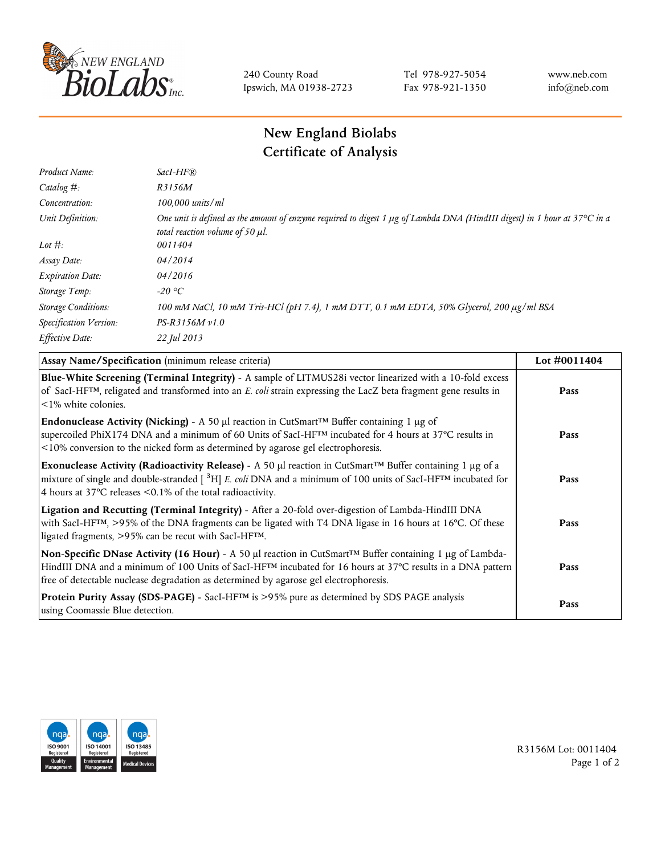

240 County Road Ipswich, MA 01938-2723 Tel 978-927-5054 Fax 978-921-1350 www.neb.com info@neb.com

## **New England Biolabs Certificate of Analysis**

| Product Name:              | $SacI-HF$ $R$                                                                                                                                                          |
|----------------------------|------------------------------------------------------------------------------------------------------------------------------------------------------------------------|
| Catalog $#$ :              | R3156M                                                                                                                                                                 |
| Concentration:             | $100,000$ units/ml                                                                                                                                                     |
| Unit Definition:           | One unit is defined as the amount of enzyme required to digest 1 $\mu$ g of Lambda DNA (HindIII digest) in 1 hour at 37°C in a<br>total reaction volume of 50 $\mu$ l. |
| Lot $\#$ :                 | 0011404                                                                                                                                                                |
| Assay Date:                | 04/2014                                                                                                                                                                |
| <b>Expiration Date:</b>    | 04/2016                                                                                                                                                                |
| Storage Temp:              | -20 °C                                                                                                                                                                 |
| <b>Storage Conditions:</b> | 100 mM NaCl, 10 mM Tris-HCl (pH 7.4), 1 mM DTT, 0.1 mM EDTA, 50% Glycerol, 200 μg/ml BSA                                                                               |
| Specification Version:     | $PS-R3156M v1.0$                                                                                                                                                       |
| Effective Date:            | 22 Jul 2013                                                                                                                                                            |

| Assay Name/Specification (minimum release criteria)                                                                                                                                                                                                                                                                                         | Lot $\#0011404$ |
|---------------------------------------------------------------------------------------------------------------------------------------------------------------------------------------------------------------------------------------------------------------------------------------------------------------------------------------------|-----------------|
| Blue-White Screening (Terminal Integrity) - A sample of LITMUS28i vector linearized with a 10-fold excess<br>of SacI-HF <sup>TM</sup> , religated and transformed into an E. coli strain expressing the LacZ beta fragment gene results in<br>$\leq$ 1% white colonies.                                                                     | Pass            |
| <b>Endonuclease Activity (Nicking)</b> - A 50 µl reaction in CutSmart <sup>TM</sup> Buffer containing 1 µg of<br>supercoiled PhiX174 DNA and a minimum of 60 Units of SacI-HFTM incubated for 4 hours at 37°C results in<br><10% conversion to the nicked form as determined by agarose gel electrophoresis.                                | Pass            |
| Exonuclease Activity (Radioactivity Release) - A 50 $\mu$ l reaction in CutSmart <sup>TM</sup> Buffer containing 1 $\mu$ g of a<br>mixture of single and double-stranded $[{}^{3}H]$ E. coli DNA and a minimum of 100 units of SacI-HF <sup>TM</sup> incubated for<br>4 hours at 37 $\degree$ C releases < 0.1% of the total radioactivity. | Pass            |
| Ligation and Recutting (Terminal Integrity) - After a 20-fold over-digestion of Lambda-HindIII DNA<br>with SacI-HF <sup>TM</sup> , >95% of the DNA fragments can be ligated with T4 DNA ligase in 16 hours at 16°C. Of these<br>ligated fragments, >95% can be recut with SacI-HFTM.                                                        | Pass            |
| Non-Specific DNase Activity (16 Hour) - A 50 µl reaction in CutSmart™ Buffer containing 1 µg of Lambda-<br>HindIII DNA and a minimum of 100 Units of SacI-HF <sup>TM</sup> incubated for 16 hours at 37°C results in a DNA pattern<br>free of detectable nuclease degradation as determined by agarose gel electrophoresis.                 | Pass            |
| Protein Purity Assay (SDS-PAGE) - SacI-HF™ is >95% pure as determined by SDS PAGE analysis<br>using Coomassie Blue detection.                                                                                                                                                                                                               | Pass            |



R3156M Lot: 0011404 Page 1 of 2